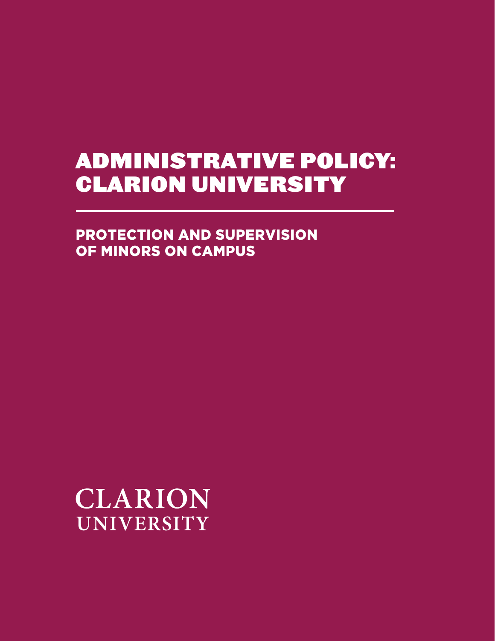# ADMINISTRATIVE POLICY: CLARION UNIVERSITY

PROTECTION AND SUPERVISION OF MINORS ON CAMPUS

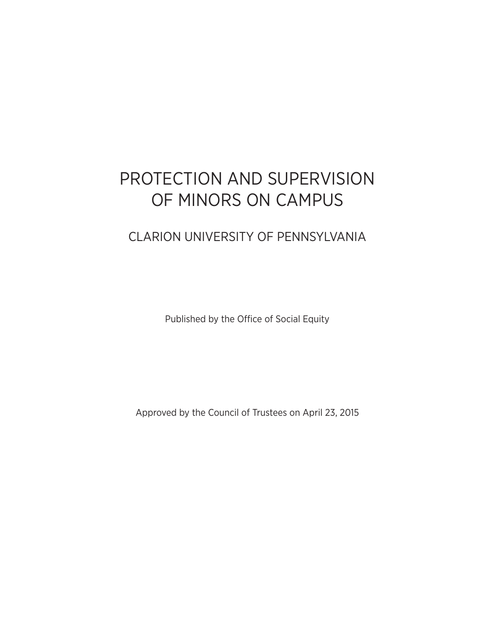## PROTECTION AND SUPERVISION OF MINORS ON CAMPUS

## CLARION UNIVERSITY OF PENNSYLVANIA

Published by the Office of Social Equity

Approved by the Council of Trustees on April 23, 2015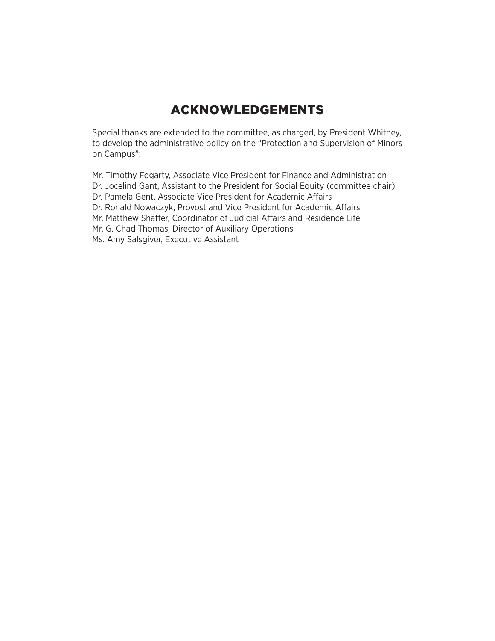## ACKNOWLEDGEMENTS

Special thanks are extended to the committee, as charged, by President Whitney, to develop the administrative policy on the "Protection and Supervision of Minors on Campus":

Mr. Timothy Fogarty, Associate Vice President for Finance and Administration Dr. Jocelind Gant, Assistant to the President for Social Equity (committee chair) Dr. Pamela Gent, Associate Vice President for Academic Affairs Dr. Ronald Nowaczyk, Provost and Vice President for Academic Affairs Mr. Matthew Shaffer, Coordinator of Judicial Affairs and Residence Life Mr. G. Chad Thomas, Director of Auxiliary Operations Ms. Amy Salsgiver, Executive Assistant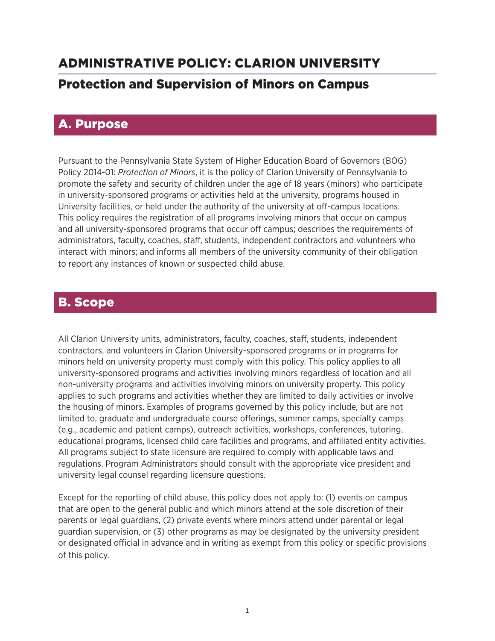## ADMINISTRATIVE POLICY: CLARION UNIVERSITY Protection and Supervision of Minors on Campus

### A. Purpose

Pursuant to the Pennsylvania State System of Higher Education Board of Governors (BOG) Policy 2014-01: *Protection of Minors*, it is the policy of Clarion University of Pennsylvania to promote the safety and security of children under the age of 18 years (minors) who participate in university-sponsored programs or activities held at the university, programs housed in University facilities, or held under the authority of the university at off-campus locations. This policy requires the registration of all programs involving minors that occur on campus and all university-sponsored programs that occur off campus; describes the requirements of administrators, faculty, coaches, staff, students, independent contractors and volunteers who interact with minors; and informs all members of the university community of their obligation to report any instances of known or suspected child abuse.

## B. Scope

All Clarion University units, administrators, faculty, coaches, staff, students, independent contractors, and volunteers in Clarion University-sponsored programs or in programs for minors held on university property must comply with this policy. This policy applies to all university-sponsored programs and activities involving minors regardless of location and all non-university programs and activities involving minors on university property. This policy applies to such programs and activities whether they are limited to daily activities or involve the housing of minors. Examples of programs governed by this policy include, but are not limited to, graduate and undergraduate course offerings, summer camps, specialty camps (e.g., academic and patient camps), outreach activities, workshops, conferences, tutoring, educational programs, licensed child care facilities and programs, and affiliated entity activities. All programs subject to state licensure are required to comply with applicable laws and regulations. Program Administrators should consult with the appropriate vice president and university legal counsel regarding licensure questions.

Except for the reporting of child abuse, this policy does not apply to: (1) events on campus that are open to the general public and which minors attend at the sole discretion of their parents or legal guardians, (2) private events where minors attend under parental or legal guardian supervision, or (3) other programs as may be designated by the university president or designated official in advance and in writing as exempt from this policy or specific provisions of this policy.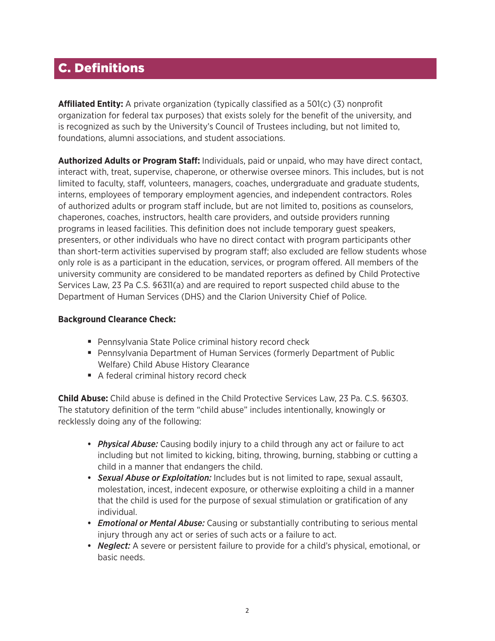## C. Definitions

**Affiliated Entity:** A private organization (typically classified as a 501(c) (3) nonprofit organization for federal tax purposes) that exists solely for the benefit of the university, and is recognized as such by the University's Council of Trustees including, but not limited to, foundations, alumni associations, and student associations.

**Authorized Adults or Program Staff:** Individuals, paid or unpaid, who may have direct contact, interact with, treat, supervise, chaperone, or otherwise oversee minors. This includes, but is not limited to faculty, staff, volunteers, managers, coaches, undergraduate and graduate students, interns, employees of temporary employment agencies, and independent contractors. Roles of authorized adults or program staff include, but are not limited to, positions as counselors, chaperones, coaches, instructors, health care providers, and outside providers running programs in leased facilities. This definition does not include temporary guest speakers, presenters, or other individuals who have no direct contact with program participants other than short-term activities supervised by program staff; also excluded are fellow students whose only role is as a participant in the education, services, or program offered. All members of the university community are considered to be mandated reporters as defined by Child Protective Services Law, 23 Pa C.S. §6311(a) and are required to report suspected child abuse to the Department of Human Services (DHS) and the Clarion University Chief of Police.

#### **Background Clearance Check:**

- Pennsylvania State Police criminal history record check
- Pennsylvania Department of Human Services (formerly Department of Public Welfare) Child Abuse History Clearance
- A federal criminal history record check

**Child Abuse:** Child abuse is defined in the Child Protective Services Law, 23 Pa. C.S. §6303. The statutory definition of the term "child abuse" includes intentionally, knowingly or recklessly doing any of the following:

- **•** *Physical Abuse:* Causing bodily injury to a child through any act or failure to act including but not limited to kicking, biting, throwing, burning, stabbing or cutting a child in a manner that endangers the child.
- **•** *Sexual Abuse or Exploitation:* Includes but is not limited to rape, sexual assault, molestation, incest, indecent exposure, or otherwise exploiting a child in a manner that the child is used for the purpose of sexual stimulation or gratification of any individual.
- **•** *Emotional or Mental Abuse:* Causing or substantially contributing to serious mental injury through any act or series of such acts or a failure to act.
- **•** *Neglect:* A severe or persistent failure to provide for a child's physical, emotional, or basic needs.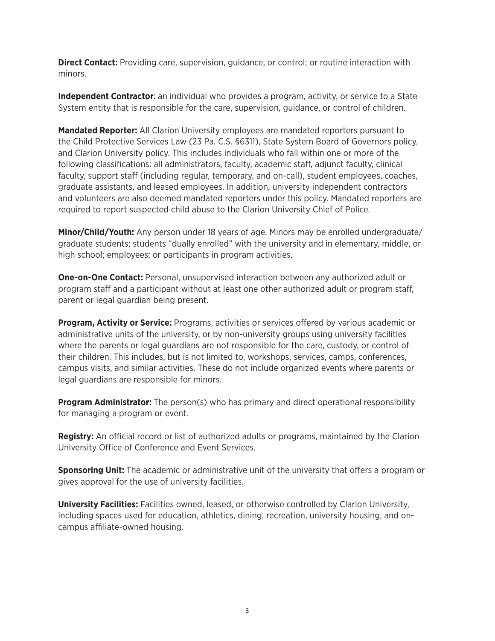**Direct Contact:** Providing care, supervision, guidance, or control; or routine interaction with minors.

**Independent Contractor**: an individual who provides a program, activity, or service to a State System entity that is responsible for the care, supervision, guidance, or control of children.

**Mandated Reporter:** All Clarion University employees are mandated reporters pursuant to the Child Protective Services Law (23 Pa. C.S. §6311), State System Board of Governors policy, and Clarion University policy. This includes individuals who fall within one or more of the following classifications: all administrators, faculty, academic staff, adjunct faculty, clinical faculty, support staff (including regular, temporary, and on-call), student employees, coaches, graduate assistants, and leased employees. In addition, university independent contractors and volunteers are also deemed mandated reporters under this policy. Mandated reporters are required to report suspected child abuse to the Clarion University Chief of Police.

**Minor/Child/Youth:** Any person under 18 years of age. Minors may be enrolled undergraduate/ graduate students; students "dually enrolled" with the university and in elementary, middle, or high school; employees; or participants in program activities.

**One-on-One Contact:** Personal, unsupervised interaction between any authorized adult or program staff and a participant without at least one other authorized adult or program staff, parent or legal guardian being present.

**Program, Activity or Service:** Programs, activities or services offered by various academic or administrative units of the university, or by non-university groups using university facilities where the parents or legal guardians are not responsible for the care, custody, or control of their children. This includes, but is not limited to, workshops, services, camps, conferences, campus visits, and similar activities. These do not include organized events where parents or legal guardians are responsible for minors.

**Program Administrator:** The person(s) who has primary and direct operational responsibility for managing a program or event.

**Registry:** An official record or list of authorized adults or programs, maintained by the Clarion University Office of Conference and Event Services.

**Sponsoring Unit:** The academic or administrative unit of the university that offers a program or gives approval for the use of university facilities.

**University Facilities:** Facilities owned, leased, or otherwise controlled by Clarion University, including spaces used for education, athletics, dining, recreation, university housing, and oncampus affiliate-owned housing.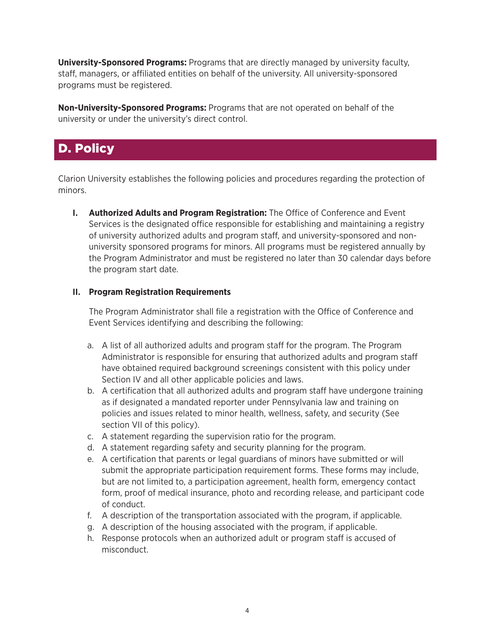**University-Sponsored Programs:** Programs that are directly managed by university faculty, staff, managers, or affiliated entities on behalf of the university. All university-sponsored programs must be registered.

**Non-University-Sponsored Programs:** Programs that are not operated on behalf of the university or under the university's direct control.

## D. Policy

Clarion University establishes the following policies and procedures regarding the protection of minors.

**I. Authorized Adults and Program Registration:** The Office of Conference and Event Services is the designated office responsible for establishing and maintaining a registry of university authorized adults and program staff, and university-sponsored and nonuniversity sponsored programs for minors. All programs must be registered annually by the Program Administrator and must be registered no later than 30 calendar days before the program start date.

#### **II. Program Registration Requirements**

The Program Administrator shall file a registration with the Office of Conference and Event Services identifying and describing the following:

- a. A list of all authorized adults and program staff for the program. The Program Administrator is responsible for ensuring that authorized adults and program staff have obtained required background screenings consistent with this policy under Section IV and all other applicable policies and laws.
- b. A certification that all authorized adults and program staff have undergone training as if designated a mandated reporter under Pennsylvania law and training on policies and issues related to minor health, wellness, safety, and security (See section VII of this policy).
- c. A statement regarding the supervision ratio for the program.
- d. A statement regarding safety and security planning for the program.
- e. A certification that parents or legal guardians of minors have submitted or will submit the appropriate participation requirement forms. These forms may include, but are not limited to, a participation agreement, health form, emergency contact form, proof of medical insurance, photo and recording release, and participant code of conduct.
- f. A description of the transportation associated with the program, if applicable.
- g. A description of the housing associated with the program, if applicable.
- h. Response protocols when an authorized adult or program staff is accused of misconduct.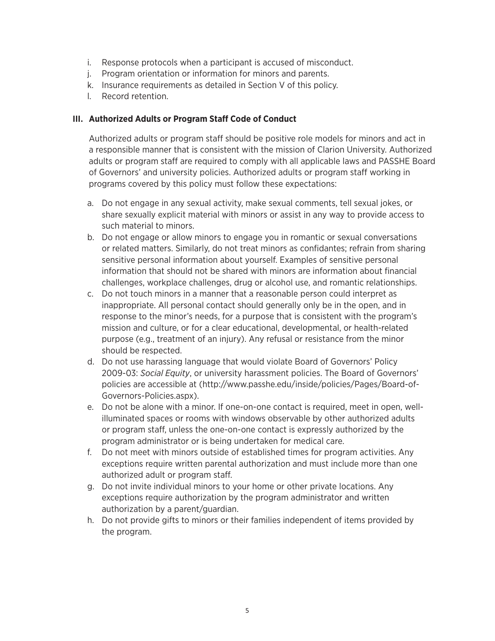- i. Response protocols when a participant is accused of misconduct.
- j. Program orientation or information for minors and parents.
- k. Insurance requirements as detailed in Section V of this policy.
- l. Record retention.

#### **III. Authorized Adults or Program Staff Code of Conduct**

Authorized adults or program staff should be positive role models for minors and act in a responsible manner that is consistent with the mission of Clarion University. Authorized adults or program staff are required to comply with all applicable laws and PASSHE Board of Governors' and university policies. Authorized adults or program staff working in programs covered by this policy must follow these expectations:

- a. Do not engage in any sexual activity, make sexual comments, tell sexual jokes, or share sexually explicit material with minors or assist in any way to provide access to such material to minors.
- b. Do not engage or allow minors to engage you in romantic or sexual conversations or related matters. Similarly, do not treat minors as confidantes; refrain from sharing sensitive personal information about yourself. Examples of sensitive personal information that should not be shared with minors are information about financial challenges, workplace challenges, drug or alcohol use, and romantic relationships.
- c. Do not touch minors in a manner that a reasonable person could interpret as inappropriate. All personal contact should generally only be in the open, and in response to the minor's needs, for a purpose that is consistent with the program's mission and culture, or for a clear educational, developmental, or health-related purpose (e.g., treatment of an injury). Any refusal or resistance from the minor should be respected.
- d. Do not use harassing language that would violate Board of Governors' Policy 2009-03: *Social Equity*, or university harassment policies. The Board of Governors' policies are accessible at (http://www.passhe.edu/inside/policies/Pages/Board-of-Governors-Policies.aspx).
- e. Do not be alone with a minor. If one-on-one contact is required, meet in open, wellilluminated spaces or rooms with windows observable by other authorized adults or program staff, unless the one-on-one contact is expressly authorized by the program administrator or is being undertaken for medical care.
- f. Do not meet with minors outside of established times for program activities. Any exceptions require written parental authorization and must include more than one authorized adult or program staff.
- g. Do not invite individual minors to your home or other private locations. Any exceptions require authorization by the program administrator and written authorization by a parent/guardian.
- h. Do not provide gifts to minors or their families independent of items provided by the program.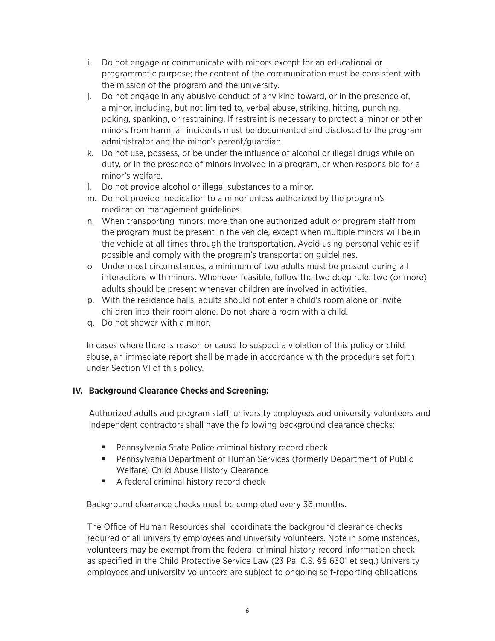- i. Do not engage or communicate with minors except for an educational or programmatic purpose; the content of the communication must be consistent with the mission of the program and the university.
- j. Do not engage in any abusive conduct of any kind toward, or in the presence of, a minor, including, but not limited to, verbal abuse, striking, hitting, punching, poking, spanking, or restraining. If restraint is necessary to protect a minor or other minors from harm, all incidents must be documented and disclosed to the program administrator and the minor's parent/guardian.
- k. Do not use, possess, or be under the influence of alcohol or illegal drugs while on duty, or in the presence of minors involved in a program, or when responsible for a minor's welfare.
- l. Do not provide alcohol or illegal substances to a minor.
- m. Do not provide medication to a minor unless authorized by the program's medication management guidelines.
- n. When transporting minors, more than one authorized adult or program staff from the program must be present in the vehicle, except when multiple minors will be in the vehicle at all times through the transportation. Avoid using personal vehicles if possible and comply with the program's transportation guidelines.
- o. Under most circumstances, a minimum of two adults must be present during all interactions with minors. Whenever feasible, follow the two deep rule: two (or more) adults should be present whenever children are involved in activities.
- p. With the residence halls, adults should not enter a child's room alone or invite children into their room alone. Do not share a room with a child.
- q. Do not shower with a minor.

In cases where there is reason or cause to suspect a violation of this policy or child abuse, an immediate report shall be made in accordance with the procedure set forth under Section VI of this policy.

#### **IV. Background Clearance Checks and Screening:**

Authorized adults and program staff, university employees and university volunteers and independent contractors shall have the following background clearance checks:

- Pennsylvania State Police criminal history record check
- Pennsylvania Department of Human Services (formerly Department of Public Welfare) Child Abuse History Clearance
- A federal criminal history record check

Background clearance checks must be completed every 36 months.

The Office of Human Resources shall coordinate the background clearance checks required of all university employees and university volunteers. Note in some instances, volunteers may be exempt from the federal criminal history record information check as specified in the Child Protective Service Law (23 Pa. C.S. §§ 6301 et seq.) University employees and university volunteers are subject to ongoing self-reporting obligations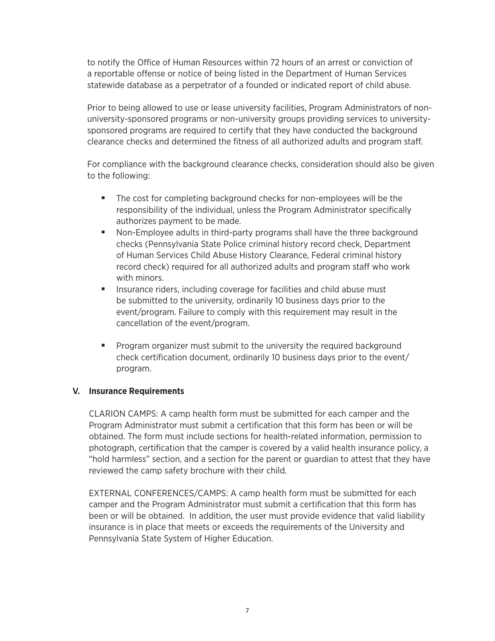to notify the Office of Human Resources within 72 hours of an arrest or conviction of a reportable offense or notice of being listed in the Department of Human Services statewide database as a perpetrator of a founded or indicated report of child abuse.

Prior to being allowed to use or lease university facilities, Program Administrators of nonuniversity-sponsored programs or non-university groups providing services to universitysponsored programs are required to certify that they have conducted the background clearance checks and determined the fitness of all authorized adults and program staff.

For compliance with the background clearance checks, consideration should also be given to the following:

- The cost for completing background checks for non-employees will be the responsibility of the individual, unless the Program Administrator specifically authorizes payment to be made.
- Non-Employee adults in third-party programs shall have the three background checks (Pennsylvania State Police criminal history record check, Department of Human Services Child Abuse History Clearance, Federal criminal history record check) required for all authorized adults and program staff who work with minors.
- Insurance riders, including coverage for facilities and child abuse must be submitted to the university, ordinarily 10 business days prior to the event/program. Failure to comply with this requirement may result in the cancellation of the event/program.
- Program organizer must submit to the university the required background check certification document, ordinarily 10 business days prior to the event/ program.

#### **V. Insurance Requirements**

CLARION CAMPS: A camp health form must be submitted for each camper and the Program Administrator must submit a certification that this form has been or will be obtained. The form must include sections for health-related information, permission to photograph, certification that the camper is covered by a valid health insurance policy, a "hold harmless" section, and a section for the parent or guardian to attest that they have reviewed the camp safety brochure with their child.

EXTERNAL CONFERENCES/CAMPS: A camp health form must be submitted for each camper and the Program Administrator must submit a certification that this form has been or will be obtained. In addition, the user must provide evidence that valid liability insurance is in place that meets or exceeds the requirements of the University and Pennsylvania State System of Higher Education.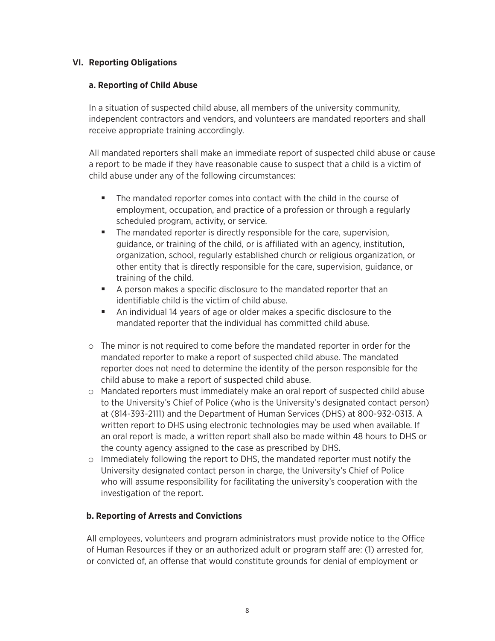#### **VI. Reporting Obligations**

#### **a. Reporting of Child Abuse**

In a situation of suspected child abuse, all members of the university community, independent contractors and vendors, and volunteers are mandated reporters and shall receive appropriate training accordingly.

All mandated reporters shall make an immediate report of suspected child abuse or cause a report to be made if they have reasonable cause to suspect that a child is a victim of child abuse under any of the following circumstances:

- The mandated reporter comes into contact with the child in the course of employment, occupation, and practice of a profession or through a regularly scheduled program, activity, or service.
- The mandated reporter is directly responsible for the care, supervision, guidance, or training of the child, or is affiliated with an agency, institution, organization, school, regularly established church or religious organization, or other entity that is directly responsible for the care, supervision, guidance, or training of the child.
- A person makes a specific disclosure to the mandated reporter that an identifiable child is the victim of child abuse.
- An individual 14 years of age or older makes a specific disclosure to the mandated reporter that the individual has committed child abuse.
- o The minor is not required to come before the mandated reporter in order for the mandated reporter to make a report of suspected child abuse. The mandated reporter does not need to determine the identity of the person responsible for the child abuse to make a report of suspected child abuse.
- o Mandated reporters must immediately make an oral report of suspected child abuse to the University's Chief of Police (who is the University's designated contact person) at (814-393-2111) and the Department of Human Services (DHS) at 800-932-0313. A written report to DHS using electronic technologies may be used when available. If an oral report is made, a written report shall also be made within 48 hours to DHS or the county agency assigned to the case as prescribed by DHS.
- o Immediately following the report to DHS, the mandated reporter must notify the University designated contact person in charge, the University's Chief of Police who will assume responsibility for facilitating the university's cooperation with the investigation of the report.

#### **b. Reporting of Arrests and Convictions**

All employees, volunteers and program administrators must provide notice to the Office of Human Resources if they or an authorized adult or program staff are: (1) arrested for, or convicted of, an offense that would constitute grounds for denial of employment or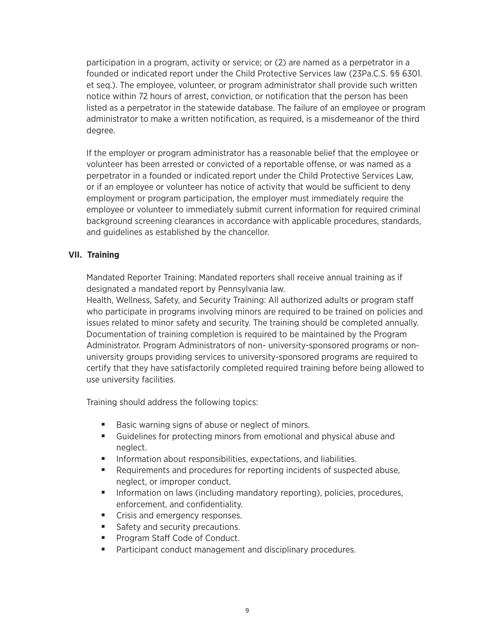participation in a program, activity or service; or (2) are named as a perpetrator in a founded or indicated report under the Child Protective Services law (23Pa.C.S. §§ 6301. et seq.). The employee, volunteer, or program administrator shall provide such written notice within 72 hours of arrest, conviction, or notification that the person has been listed as a perpetrator in the statewide database. The failure of an employee or program administrator to make a written notification, as required, is a misdemeanor of the third degree.

If the employer or program administrator has a reasonable belief that the employee or volunteer has been arrested or convicted of a reportable offense, or was named as a perpetrator in a founded or indicated report under the Child Protective Services Law, or if an employee or volunteer has notice of activity that would be sufficient to deny employment or program participation, the employer must immediately require the employee or volunteer to immediately submit current information for required criminal background screening clearances in accordance with applicable procedures, standards, and guidelines as established by the chancellor.

#### **VII. Training**

Mandated Reporter Training: Mandated reporters shall receive annual training as if designated a mandated report by Pennsylvania law.

Health, Wellness, Safety, and Security Training: All authorized adults or program staff who participate in programs involving minors are required to be trained on policies and issues related to minor safety and security. The training should be completed annually. Documentation of training completion is required to be maintained by the Program Administrator. Program Administrators of non- university-sponsored programs or nonuniversity groups providing services to university-sponsored programs are required to certify that they have satisfactorily completed required training before being allowed to use university facilities.

Training should address the following topics:

- Basic warning signs of abuse or neglect of minors.
- Guidelines for protecting minors from emotional and physical abuse and neglect.
- Information about responsibilities, expectations, and liabilities.
- Requirements and procedures for reporting incidents of suspected abuse, neglect, or improper conduct.
- Information on laws (including mandatory reporting), policies, procedures, enforcement, and confidentiality.
- Crisis and emergency responses.
- Safety and security precautions.
- Program Staff Code of Conduct.
- Participant conduct management and disciplinary procedures.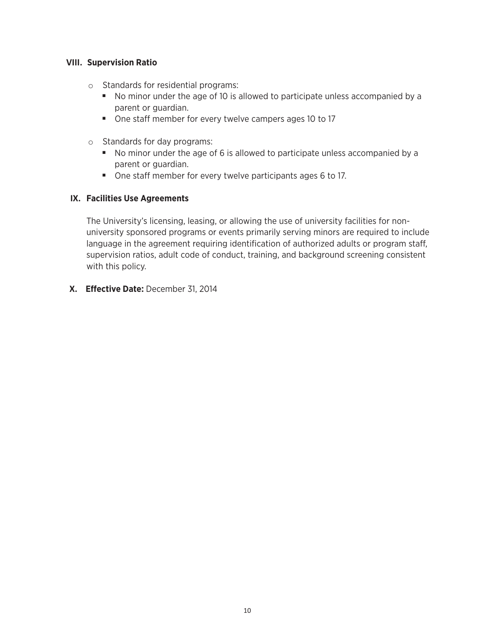#### **VIII. Supervision Ratio**

- o Standards for residential programs:
	- No minor under the age of 10 is allowed to participate unless accompanied by a parent or guardian.
	- One staff member for every twelve campers ages 10 to 17
- o Standards for day programs:
	- No minor under the age of 6 is allowed to participate unless accompanied by a parent or guardian.
	- One staff member for every twelve participants ages 6 to 17.

#### **IX. Facilities Use Agreements**

The University's licensing, leasing, or allowing the use of university facilities for nonuniversity sponsored programs or events primarily serving minors are required to include language in the agreement requiring identification of authorized adults or program staff, supervision ratios, adult code of conduct, training, and background screening consistent with this policy.

**X. Effective Date:** December 31, 2014